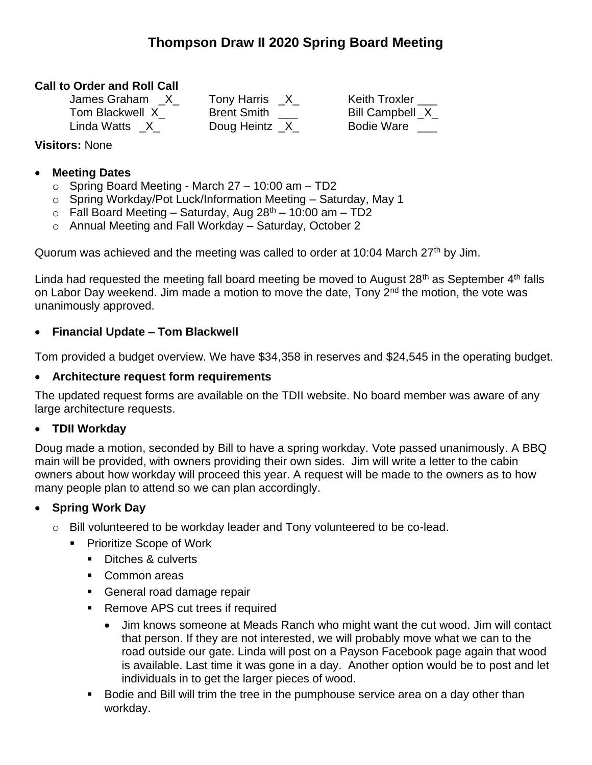# **Thompson Draw II 2020 Spring Board Meeting**

## **Call to Order and Roll Call**

| James Graham    | <b>Tony Harris</b> | <b>Keith Troxler</b> |
|-----------------|--------------------|----------------------|
| Tom Blackwell X | <b>Brent Smith</b> | Bill Campbell X      |
| Linda Watts X   | Doug Heintz _X_    | <b>Bodie Ware</b>    |

### **Visitors:** None

#### • **Meeting Dates**

- $\circ$  Spring Board Meeting March 27 10:00 am TD2
- o Spring Workday/Pot Luck/Information Meeting Saturday, May 1
- $\circ$  Fall Board Meeting Saturday, Aug 28<sup>th</sup> 10:00 am TD2
- o Annual Meeting and Fall Workday Saturday, October 2

Quorum was achieved and the meeting was called to order at 10:04 March 27<sup>th</sup> by Jim.

Linda had requested the meeting fall board meeting be moved to August  $28<sup>th</sup>$  as September  $4<sup>th</sup>$  falls on Labor Day weekend. Jim made a motion to move the date, Tony 2<sup>nd</sup> the motion, the vote was unanimously approved.

### • **Financial Update – Tom Blackwell**

Tom provided a budget overview. We have \$34,358 in reserves and \$24,545 in the operating budget.

#### • **Architecture request form requirements**

The updated request forms are available on the TDII website. No board member was aware of any large architecture requests.

#### • **TDII Workday**

Doug made a motion, seconded by Bill to have a spring workday. Vote passed unanimously. A BBQ main will be provided, with owners providing their own sides. Jim will write a letter to the cabin owners about how workday will proceed this year. A request will be made to the owners as to how many people plan to attend so we can plan accordingly.

## • **Spring Work Day**

- o Bill volunteered to be workday leader and Tony volunteered to be co-lead.
	- Prioritize Scope of Work
		- Ditches & culverts
		- Common areas
		- General road damage repair
		- Remove APS cut trees if required
			- Jim knows someone at Meads Ranch who might want the cut wood. Jim will contact that person. If they are not interested, we will probably move what we can to the road outside our gate. Linda will post on a Payson Facebook page again that wood is available. Last time it was gone in a day. Another option would be to post and let individuals in to get the larger pieces of wood.
		- Bodie and Bill will trim the tree in the pumphouse service area on a day other than workday.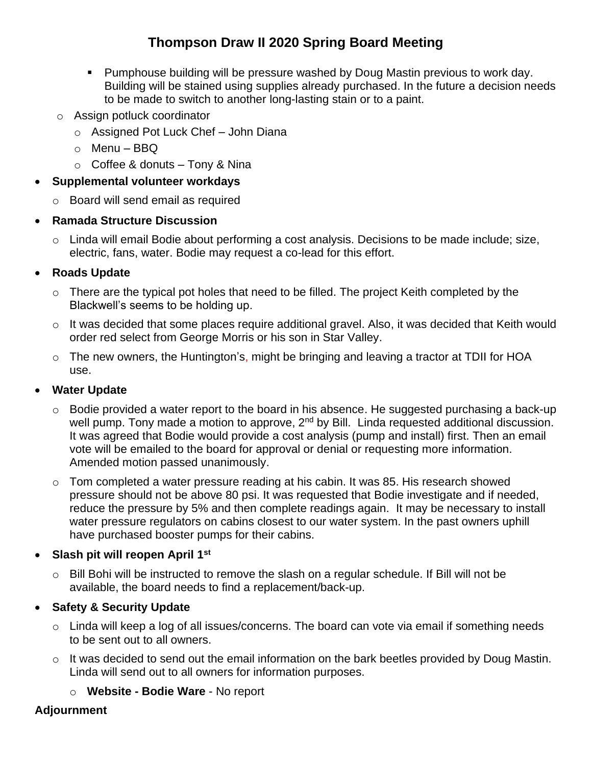# **Thompson Draw II 2020 Spring Board Meeting**

- Pumphouse building will be pressure washed by Doug Mastin previous to work day. Building will be stained using supplies already purchased. In the future a decision needs to be made to switch to another long-lasting stain or to a paint.
- o Assign potluck coordinator
	- o Assigned Pot Luck Chef John Diana
	- o Menu BBQ
	- $\circ$  Coffee & donuts Tony & Nina
- **Supplemental volunteer workdays**
	- o Board will send email as required
- **Ramada Structure Discussion**
	- o Linda will email Bodie about performing a cost analysis. Decisions to be made include; size, electric, fans, water. Bodie may request a co-lead for this effort.

## • **Roads Update**

- $\circ$  There are the typical pot holes that need to be filled. The project Keith completed by the Blackwell's seems to be holding up.
- o It was decided that some places require additional gravel. Also, it was decided that Keith would order red select from George Morris or his son in Star Valley.
- o The new owners, the Huntington's, might be bringing and leaving a tractor at TDII for HOA use.

## • **Water Update**

- $\circ$  Bodie provided a water report to the board in his absence. He suggested purchasing a back-up well pump. Tony made a motion to approve, 2<sup>nd</sup> by Bill. Linda requested additional discussion. It was agreed that Bodie would provide a cost analysis (pump and install) first. Then an email vote will be emailed to the board for approval or denial or requesting more information. Amended motion passed unanimously.
- $\circ$  Tom completed a water pressure reading at his cabin. It was 85. His research showed pressure should not be above 80 psi. It was requested that Bodie investigate and if needed, reduce the pressure by 5% and then complete readings again. It may be necessary to install water pressure regulators on cabins closest to our water system. In the past owners uphill have purchased booster pumps for their cabins.
- **Slash pit will reopen April 1st**
	- o Bill Bohi will be instructed to remove the slash on a regular schedule. If Bill will not be available, the board needs to find a replacement/back-up.
- **Safety & Security Update**
	- o Linda will keep a log of all issues/concerns. The board can vote via email if something needs to be sent out to all owners.
	- $\circ$  It was decided to send out the email information on the bark beetles provided by Doug Mastin. Linda will send out to all owners for information purposes.

o **Website - Bodie Ware** - No report

# **Adjournment**